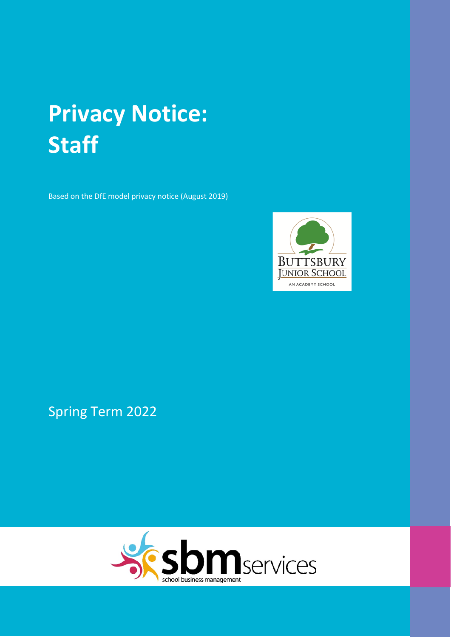# **Privacy Notice: Staff**

Based on the DfE model privacy notice (August 2019)



Spring Term 2022

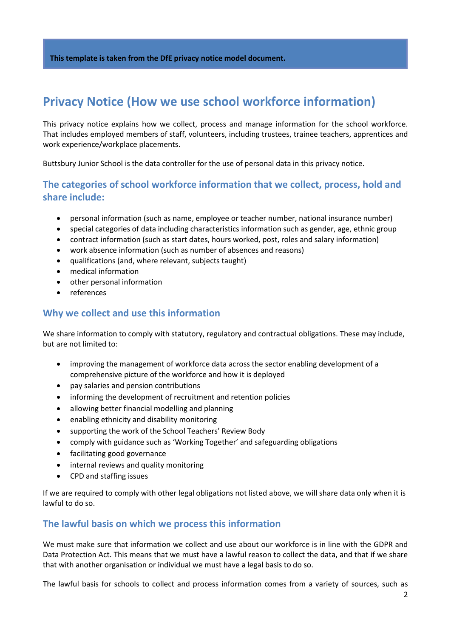# **Privacy Notice (How we use school workforce information)**

This privacy notice explains how we collect, process and manage information for the school workforce. That includes employed members of staff, volunteers, including trustees, trainee teachers, apprentices and work experience/workplace placements.

Buttsbury Junior School is the data controller for the use of personal data in this privacy notice.

# **The categories of school workforce information that we collect, process, hold and share include:**

- personal information (such as name, employee or teacher number, national insurance number)
- special categories of data including characteristics information such as gender, age, ethnic group
- contract information (such as start dates, hours worked, post, roles and salary information)
- work absence information (such as number of absences and reasons)
- qualifications (and, where relevant, subjects taught)
- medical information
- other personal information
- references

#### **Why we collect and use this information**

We share information to comply with statutory, regulatory and contractual obligations. These may include, but are not limited to:

- improving the management of workforce data across the sector enabling development of a comprehensive picture of the workforce and how it is deployed
- pay salaries and pension contributions
- informing the development of recruitment and retention policies
- allowing better financial modelling and planning
- enabling ethnicity and disability monitoring
- supporting the work of the School Teachers' Review Body
- comply with guidance such as 'Working Together' and safeguarding obligations
- facilitating good governance
- internal reviews and quality monitoring
- CPD and staffing issues

If we are required to comply with other legal obligations not listed above, we will share data only when it is lawful to do so.

#### **The lawful basis on which we process this information**

We must make sure that information we collect and use about our workforce is in line with the GDPR and Data Protection Act. This means that we must have a lawful reason to collect the data, and that if we share that with another organisation or individual we must have a legal basis to do so.

The lawful basis for schools to collect and process information comes from a variety of sources, such as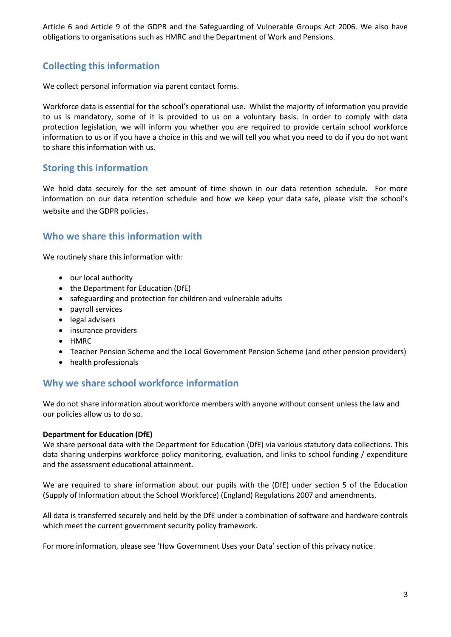Article 6 and Article 9 of the GDPR and the Safeguarding of Vulnerable Groups Act 2006. We also have obligations to organisations such as HMRC and the Department of Work and Pensions.

# **Collecting this information**

We collect personal information via parent contact forms.

Workforce data is essential for the school's operational use. Whilst the majority of information you provide to us is mandatory, some of it is provided to us on a voluntary basis. In order to comply with data protection legislation, we will inform you whether you are required to provide certain school workforce information to us or if you have a choice in this and we will tell you what you need to do if you do not want to share this information with us.

### **Storing this information**

We hold data securely for the set amount of time shown in our data retention schedule. For more information on our data retention schedule and how we keep your data safe, please visit the school's website and the GDPR policies**.**

### **Who we share this information with**

We routinely share this information with:

- our local authority
- the Department for Education (DfE)
- safeguarding and protection for children and vulnerable adults
- payroll services
- legal advisers
- insurance providers
- HMRC
- Teacher Pension Scheme and the Local Government Pension Scheme (and other pension providers)
- health professionals

### **Why we share school workforce information**

We do not share information about workforce members with anyone without consent unless the law and our policies allow us to do so.

#### **Department for Education (DfE)**

We share personal data with the Department for Education (DfE) via various statutory data collections. This data sharing underpins workforce policy monitoring, evaluation, and links to school funding / expenditure and the assessment educational attainment.

We are required to share information about our pupils with the (DfE) under section 5 of the Education (Supply of Information about the School Workforce) (England) Regulations 2007 and amendments.

All data is transferred securely and held by the DfE under a combination of software and hardware controls which meet the current government security policy framework.

For more information, please see 'How Government Uses your Data' section of this privacy notice.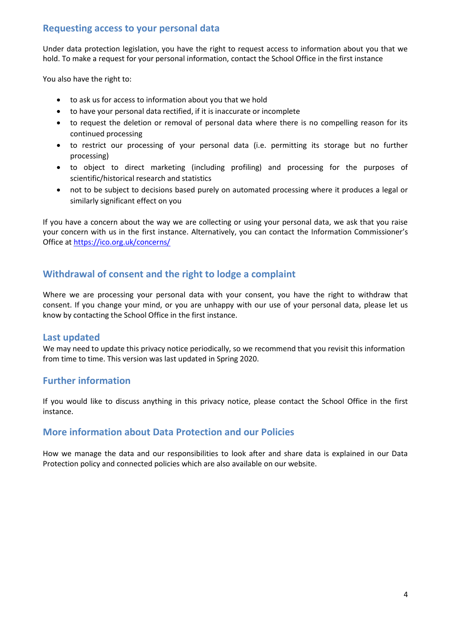# **Requesting access to your personal data**

Under data protection legislation, you have the right to request access to information about you that we hold. To make a request for your personal information, contact the School Office in the first instance

You also have the right to:

- to ask us for access to information about you that we hold
- to have your personal data rectified, if it is inaccurate or incomplete
- to request the deletion or removal of personal data where there is no compelling reason for its continued processing
- to restrict our processing of your personal data (i.e. permitting its storage but no further processing)
- to object to direct marketing (including profiling) and processing for the purposes of scientific/historical research and statistics
- not to be subject to decisions based purely on automated processing where it produces a legal or similarly significant effect on you

If you have a concern about the way we are collecting or using your personal data, we ask that you raise your concern with us in the first instance. Alternatively, you can contact the Information Commissioner's Office at<https://ico.org.uk/concerns/>

# **Withdrawal of consent and the right to lodge a complaint**

Where we are processing your personal data with your consent, you have the right to withdraw that consent. If you change your mind, or you are unhappy with our use of your personal data, please let us know by contacting the School Office in the first instance.

#### **Last updated**

We may need to update this privacy notice periodically, so we recommend that you revisit this information from time to time. This version was last updated in Spring 2020.

### **Further information**

If you would like to discuss anything in this privacy notice, please contact the School Office in the first instance.

### **More information about Data Protection and our Policies**

How we manage the data and our responsibilities to look after and share data is explained in our Data Protection policy and connected policies which are also available on our website.